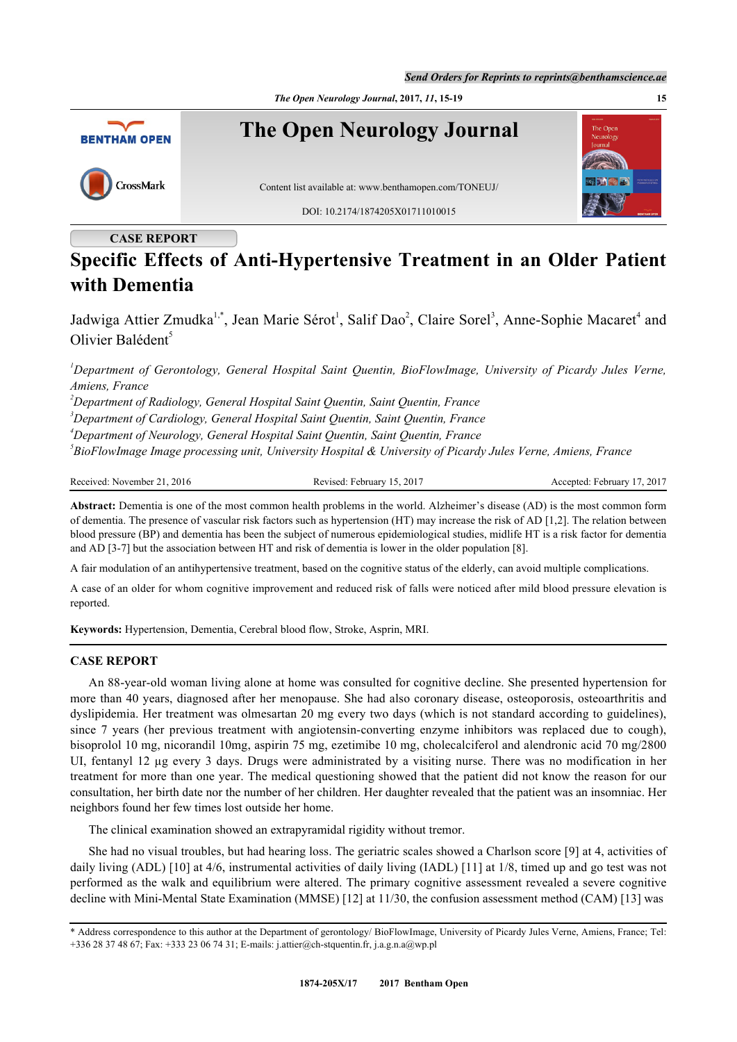*The Open Neurology Journal***, 2017,** *11***, 15-19 15**



## **CASE REPORT**

# **Specific Effects of Anti-Hypertensive Treatment in an Older Patient with Dementia**

Jadwiga Attier Zmudka<sup>[1,](#page-0-0)[\\*](#page-0-1)</sup>, Jean Marie Sérot<sup>[1](#page-0-0)</sup>, Salif Dao<sup>[2](#page-0-2)</sup>, Claire Sorel<sup>[3](#page-0-3)</sup>, Anne-Sophie Macaret<sup>[4](#page-0-4)</sup> and Olivier Balédent<sup>[5](#page-0-5)</sup>

<span id="page-0-0"></span>*<sup>1</sup>Department of Gerontology, General Hospital Saint Quentin, BioFlowImage, University of Picardy Jules Verne, Amiens, France*

<span id="page-0-2"></span>*<sup>2</sup>Department of Radiology, General Hospital Saint Quentin, Saint Quentin, France*

<span id="page-0-3"></span>*<sup>3</sup>Department of Cardiology, General Hospital Saint Quentin, Saint Quentin, France*

<span id="page-0-4"></span>*<sup>4</sup>Department of Neurology, General Hospital Saint Quentin, Saint Quentin, France*

<span id="page-0-5"></span>*5 BioFlowImage Image processing unit, University Hospital & University of Picardy Jules Verne, Amiens, France*

Received: November 21, 2016 Revised: February 15, 2017 Accepted: February 17, 2017

**Abstract:** Dementia is one of the most common health problems in the world. Alzheimer's disease (AD) is the most common form of dementia. The presence of vascular risk factors such as hypertension (HT) may increase the risk of AD [1,2]. The relation between blood pressure (BP) and dementia has been the subject of numerous epidemiological studies, midlife HT is a risk factor for dementia and AD [3-7] but the association between HT and risk of dementia is lower in the older population [8].

A fair modulation of an antihypertensive treatment, based on the cognitive status of the elderly, can avoid multiple complications.

A case of an older for whom cognitive improvement and reduced risk of falls were noticed after mild blood pressure elevation is reported.

**Keywords:** Hypertension, Dementia, Cerebral blood flow, Stroke, Asprin, MRI.

## **CASE REPORT**

An 88-year-old woman living alone at home was consulted for cognitive decline. She presented hypertension for more than 40 years, diagnosed after her menopause. She had also coronary disease, osteoporosis, osteoarthritis and dyslipidemia. Her treatment was olmesartan 20 mg every two days (which is not standard according to guidelines), since 7 years (her previous treatment with angiotensin-converting enzyme inhibitors was replaced due to cough), bisoprolol 10 mg, nicorandil 10mg, aspirin 75 mg, ezetimibe 10 mg, cholecalciferol and alendronic acid 70 mg/2800 UI, fentanyl 12 µg every 3 days. Drugs were administrated by a visiting nurse. There was no modification in her treatment for more than one year. The medical questioning showed that the patient did not know the reason for our consultation, her birth date nor the number of her children. Her daughter revealed that the patient was an insomniac. Her neighbors found her few times lost outside her home.

The clinical examination showed an extrapyramidal rigidity without tremor.

She had no visual troubles, but had hearing loss. The geriatric scales showed a Charlson score [[9\]](#page-3-0) at 4, activities of daily living (ADL) [\[10](#page-3-1)] at 4/6, instrumental activities of daily living (IADL) [\[11](#page-3-2)] at 1/8, timed up and go test was not performed as the walk and equilibrium were altered. The primary cognitive assessment revealed a severe cognitive decline with Mini-Mental State Examination (MMSE) [\[12](#page-3-3)] at 11/30, the confusion assessment method (CAM) [[13\]](#page-3-4) was

<span id="page-0-1"></span><sup>\*</sup> Address correspondence to this author at the Dep[artment of gerontology](mailto:j.attier@ch-stquentin.fr)/ [BioFlowImage,](mailto:j.a.g.n.a@wp.pl) University of Picardy Jules Verne, Amiens, France; Tel: +336 28 37 48 67; Fax: +333 23 06 74 31; E-mails: j.attier@ch-stquentin.fr, j.a.g.n.a@wp.pl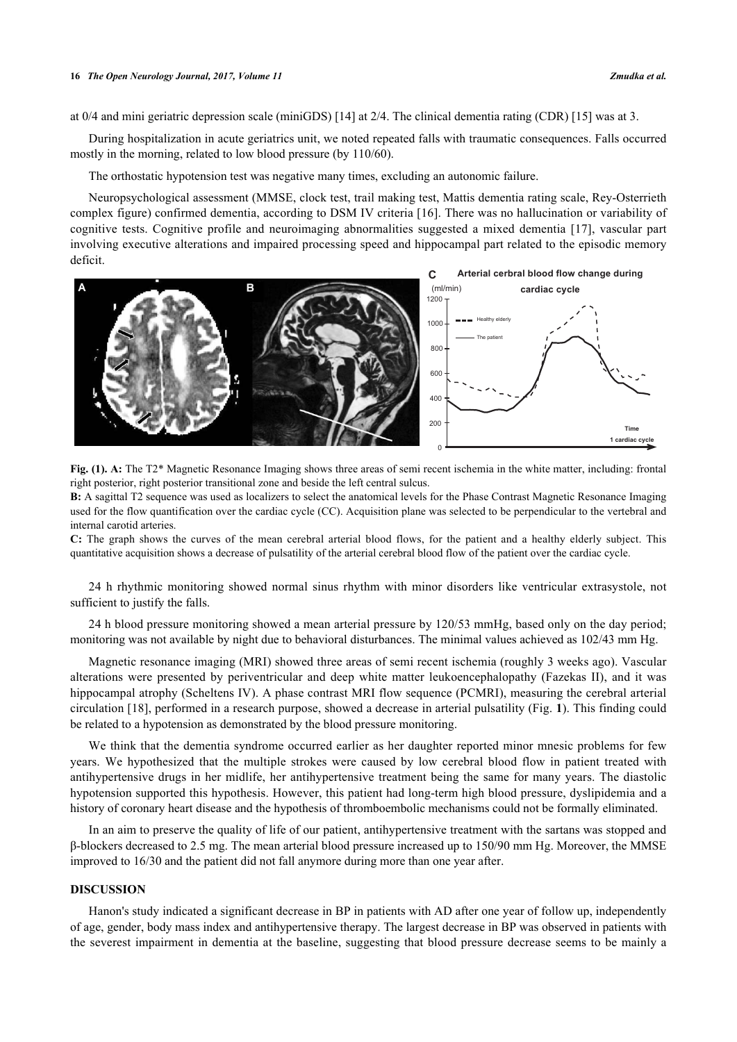at 0/4 and mini geriatric depression scale (miniGDS) [[14\]](#page-3-5) at 2/4. The clinical dementia rating (CDR) [\[15](#page-3-6)] was at 3.

During hospitalization in acute geriatrics unit, we noted repeated falls with traumatic consequences. Falls occurred mostly in the morning, related to low blood pressure (by 110/60).

The orthostatic hypotension test was negative many times, excluding an autonomic failure.

Neuropsychological assessment (MMSE, clock test, trail making test, Mattis dementia rating scale, Rey-Osterrieth complex figure) confirmed dementia, according to DSM IV criteria [\[16\]](#page-4-0). There was no hallucination or variability of cognitive tests. Cognitive profile and neuroimaging abnormalities suggested a mixed dementia[[17\]](#page-4-1), vascular part involving executive alterations and impaired processing speed and hippocampal part related to the episodic memory deficit.

<span id="page-1-0"></span>

**Fig. (1). A:** The T2\* Magnetic Resonance Imaging shows three areas of semi recent ischemia in the white matter, including: frontal right posterior, right posterior transitional zone and beside the left central sulcus.

**B:** A sagittal T2 sequence was used as localizers to select the anatomical levels for the Phase Contrast Magnetic Resonance Imaging used for the flow quantification over the cardiac cycle (CC). Acquisition plane was selected to be perpendicular to the vertebral and internal carotid arteries.

**C:** The graph shows the curves of the mean cerebral arterial blood flows, for the patient and a healthy elderly subject. This quantitative acquisition shows a decrease of pulsatility of the arterial cerebral blood flow of the patient over the cardiac cycle.

24 h rhythmic monitoring showed normal sinus rhythm with minor disorders like ventricular extrasystole, not sufficient to justify the falls.

24 h blood pressure monitoring showed a mean arterial pressure by 120/53 mmHg, based only on the day period; monitoring was not available by night due to behavioral disturbances. The minimal values achieved as 102/43 mm Hg.

Magnetic resonance imaging (MRI) showed three areas of semi recent ischemia (roughly 3 weeks ago). Vascular alterations were presented by periventricular and deep white matter leukoencephalopathy (Fazekas II), and it was hippocampal atrophy (Scheltens IV). A phase contrast MRI flow sequence (PCMRI), measuring the cerebral arterial circulation [\[18\]](#page-4-2), performed in a research purpose, showed a decrease in arterial pulsatility (Fig. **[1](#page-1-0)**). This finding could be related to a hypotension as demonstrated by the blood pressure monitoring.

We think that the dementia syndrome occurred earlier as her daughter reported minor mnesic problems for few years. We hypothesized that the multiple strokes were caused by low cerebral blood flow in patient treated with antihypertensive drugs in her midlife, her antihypertensive treatment being the same for many years. The diastolic hypotension supported this hypothesis. However, this patient had long-term high blood pressure, dyslipidemia and a history of coronary heart disease and the hypothesis of thromboembolic mechanisms could not be formally eliminated.

In an aim to preserve the quality of life of our patient, antihypertensive treatment with the sartans was stopped and β-blockers decreased to 2.5 mg. The mean arterial blood pressure increased up to 150/90 mm Hg. Moreover, the MMSE improved to 16/30 and the patient did not fall anymore during more than one year after.

## **DISCUSSION**

Hanon's study indicated a significant decrease in BP in patients with AD after one year of follow up, independently of age, gender, body mass index and antihypertensive therapy. The largest decrease in BP was observed in patients with the severest impairment in dementia at the baseline, suggesting that blood pressure decrease seems to be mainly a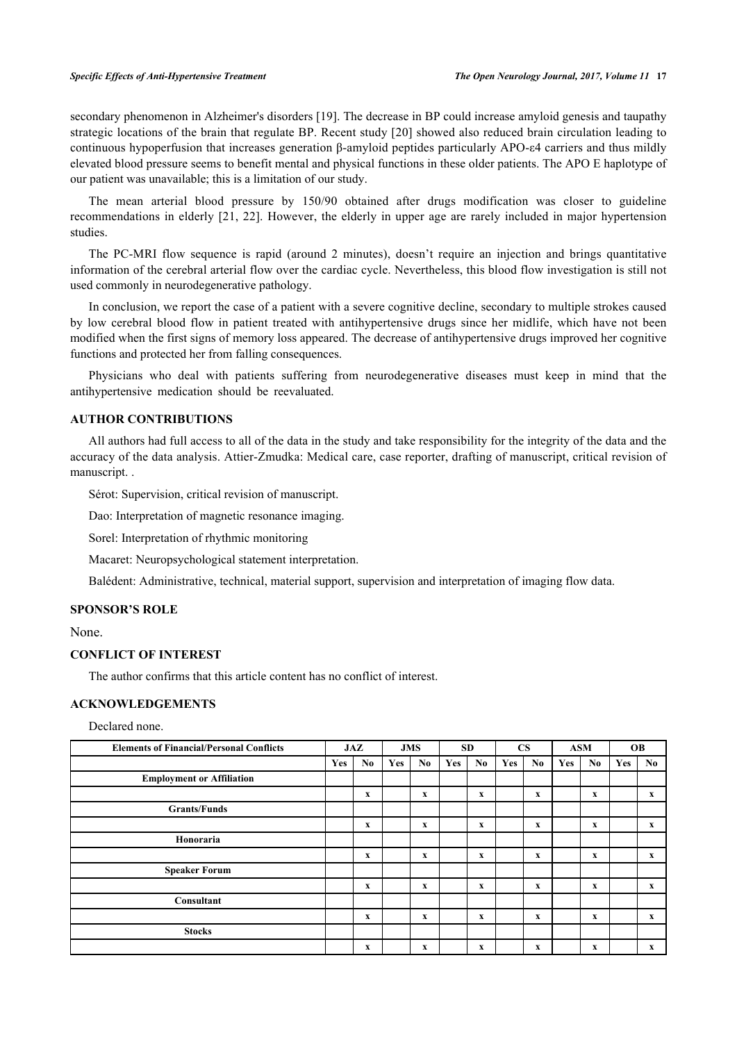secondary phenomenon in Alzheimer's disorders [[19\]](#page-4-3). The decrease in BP could increase amyloid genesis and taupathy strategic locations of the brain that regulate BP. Recent study [[20\]](#page-4-4) showed also reduced brain circulation leading to continuous hypoperfusion that increases generation β-amyloid peptides particularly APO-ε4 carriers and thus mildly elevated blood pressure seems to benefit mental and physical functions in these older patients. The APO E haplotype of our patient was unavailable; this is a limitation of our study.

The mean arterial blood pressure by 150/90 obtained after drugs modification was closer to guideline recommendations in elderly [[21](#page-4-5), [22\]](#page-4-6). However, the elderly in upper age are rarely included in major hypertension studies.

The PC-MRI flow sequence is rapid (around 2 minutes), doesn't require an injection and brings quantitative information of the cerebral arterial flow over the cardiac cycle. Nevertheless, this blood flow investigation is still not used commonly in neurodegenerative pathology.

In conclusion, we report the case of a patient with a severe cognitive decline, secondary to multiple strokes caused by low cerebral blood flow in patient treated with antihypertensive drugs since her midlife, which have not been modified when the first signs of memory loss appeared. The decrease of antihypertensive drugs improved her cognitive functions and protected her from falling consequences.

Physicians who deal with patients suffering from neurodegenerative diseases must keep in mind that the antihypertensive medication should be reevaluated.

## **AUTHOR CONTRIBUTIONS**

All authors had full access to all of the data in the study and take responsibility for the integrity of the data and the accuracy of the data analysis. Attier-Zmudka: Medical care, case reporter, drafting of manuscript, critical revision of manuscript. .

Sérot: Supervision, critical revision of manuscript.

Dao: Interpretation of magnetic resonance imaging.

Sorel: Interpretation of rhythmic monitoring

Macaret: Neuropsychological statement interpretation.

Balédent: Administrative, technical, material support, supervision and interpretation of imaging flow data.

#### **SPONSOR'S ROLE**

None.

#### **CONFLICT OF INTEREST**

The author confirms that this article content has no conflict of interest.

#### **ACKNOWLEDGEMENTS**

Declared none.

| <b>Elements of Financial/Personal Conflicts</b> | JAZ |             | <b>JMS</b> |              | <b>SD</b> |             | <b>CS</b> |                           | <b>ASM</b> |              | <b>OB</b> |              |
|-------------------------------------------------|-----|-------------|------------|--------------|-----------|-------------|-----------|---------------------------|------------|--------------|-----------|--------------|
|                                                 | Yes | No.         | Yes        | No           | Yes       | No          | Yes       | No.                       | Yes        | No.          | Yes       | No.          |
| <b>Employment or Affiliation</b>                |     |             |            |              |           |             |           |                           |            |              |           |              |
|                                                 |     | x           |            | x            |           | x           |           | x                         |            | $\mathbf x$  |           | X            |
| <b>Grants/Funds</b>                             |     |             |            |              |           |             |           |                           |            |              |           |              |
|                                                 |     | X           |            | $\mathbf x$  |           | $\mathbf x$ |           | X                         |            | $\mathbf{x}$ |           | $\mathbf{x}$ |
| Honoraria                                       |     |             |            |              |           |             |           |                           |            |              |           |              |
|                                                 |     | $\mathbf x$ |            | $\mathbf{x}$ |           | $\mathbf x$ |           | $\mathbf x$               |            | $\mathbf{x}$ |           | $\mathbf{x}$ |
| <b>Speaker Forum</b>                            |     |             |            |              |           |             |           |                           |            |              |           |              |
|                                                 |     | x           |            | $\mathbf X$  |           | $\mathbf X$ |           | $\boldsymbol{\mathrm{X}}$ |            | $\mathbf x$  |           | $\mathbf{x}$ |
| Consultant                                      |     |             |            |              |           |             |           |                           |            |              |           |              |
|                                                 |     | x           |            | $\mathbf{x}$ |           | x           |           | x                         |            | $\mathbf x$  |           | $\mathbf{x}$ |
| <b>Stocks</b>                                   |     |             |            |              |           |             |           |                           |            |              |           |              |
|                                                 |     | x           |            | $\mathbf x$  |           | X           |           | $\boldsymbol{\mathrm{X}}$ |            | x            |           | $\mathbf{x}$ |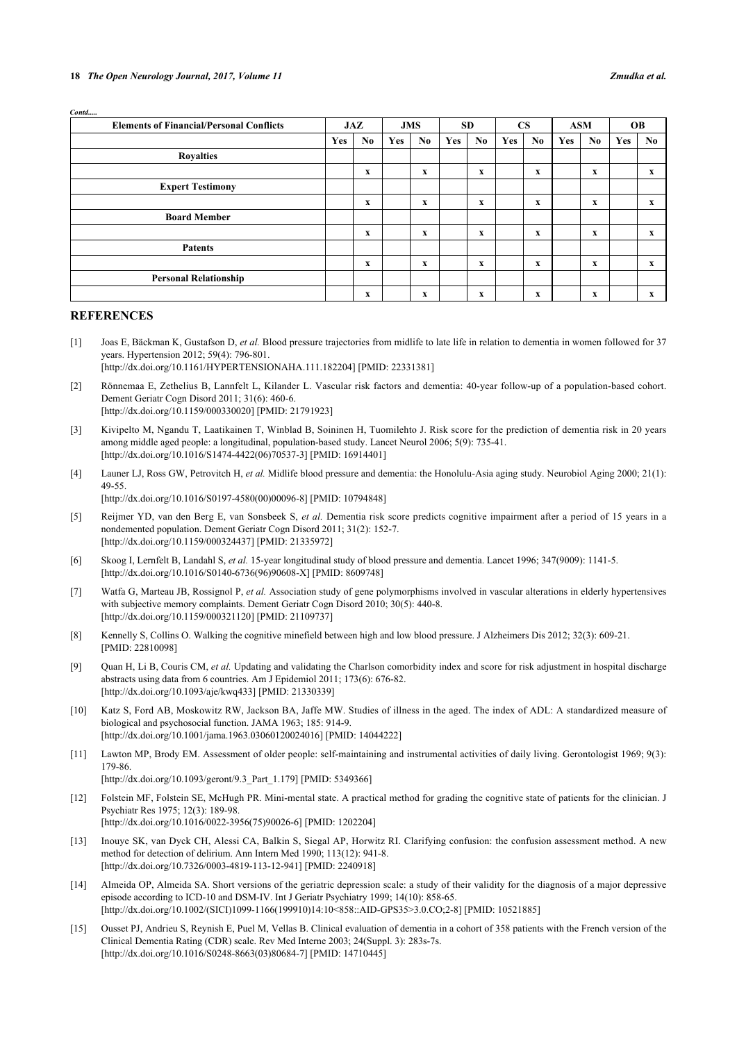| <b>Elements of Financial/Personal Conflicts</b> | JAZ |    | <b>JMS</b> |             | <b>SD</b>  |             | $\overline{\text{CS}}$ |                           | <b>ASM</b> |                           | <b>OB</b>  |              |
|-------------------------------------------------|-----|----|------------|-------------|------------|-------------|------------------------|---------------------------|------------|---------------------------|------------|--------------|
|                                                 | Yes | No | Yes        | No          | <b>Yes</b> | No          | <b>Yes</b>             | No.                       | Yes        | No.                       | <b>Yes</b> | No           |
| <b>Royalties</b>                                |     |    |            |             |            |             |                        |                           |            |                           |            |              |
|                                                 |     | x  |            | $\mathbf X$ |            | $\mathbf x$ |                        | $\mathbf X$               |            | $\mathbf X$               |            | X            |
| <b>Expert Testimony</b>                         |     |    |            |             |            |             |                        |                           |            |                           |            |              |
|                                                 |     | x  |            | $\mathbf x$ |            | $\mathbf x$ |                        | $\mathbf x$               |            | X                         |            | $\mathbf{x}$ |
| <b>Board Member</b>                             |     |    |            |             |            |             |                        |                           |            |                           |            |              |
|                                                 |     | x  |            | $\mathbf X$ |            | $\mathbf x$ |                        | $\mathbf X$               |            | $\boldsymbol{\mathrm{X}}$ |            | $\mathbf{x}$ |
| <b>Patents</b>                                  |     |    |            |             |            |             |                        |                           |            |                           |            |              |
|                                                 |     | x  |            | $\mathbf X$ |            | $\mathbf x$ |                        | $\mathbf x$               |            | $\mathbf X$               |            | $\mathbf{x}$ |
| <b>Personal Relationship</b>                    |     |    |            |             |            |             |                        |                           |            |                           |            |              |
|                                                 |     | x  |            | $\mathbf X$ |            | x           |                        | $\boldsymbol{\mathrm{X}}$ |            | $\boldsymbol{\mathrm{X}}$ |            | X            |

#### **REFERENCES**

*Contd.....*

- [1] Joas E, Bäckman K, Gustafson D, *et al.* Blood pressure trajectories from midlife to late life in relation to dementia in women followed for 37 years. Hypertension 2012; 59(4): 796-801.
	- [\[http://dx.doi.org/10.1161/HYPERTENSIONAHA.111.182204\]](http://dx.doi.org/10.1161/HYPERTENSIONAHA.111.182204) [PMID: [22331381](http://www.ncbi.nlm.nih.gov/pubmed/22331381)]
- [2] Rönnemaa E, Zethelius B, Lannfelt L, Kilander L. Vascular risk factors and dementia: 40-year follow-up of a population-based cohort. Dement Geriatr Cogn Disord 2011; 31(6): 460-6. [\[http://dx.doi.org/10.1159/000330020\]](http://dx.doi.org/10.1159/000330020) [PMID: [21791923](http://www.ncbi.nlm.nih.gov/pubmed/21791923)]
- [3] Kivipelto M, Ngandu T, Laatikainen T, Winblad B, Soininen H, Tuomilehto J. Risk score for the prediction of dementia risk in 20 years among middle aged people: a longitudinal, population-based study. Lancet Neurol 2006; 5(9): 735-41. [\[http://dx.doi.org/10.1016/S1474-4422\(06\)70537-3\]](http://dx.doi.org/10.1016/S1474-4422(06)70537-3) [PMID: [16914401](http://www.ncbi.nlm.nih.gov/pubmed/16914401)]
- [4] Launer LJ, Ross GW, Petrovitch H, *et al.* Midlife blood pressure and dementia: the Honolulu-Asia aging study. Neurobiol Aging 2000; 21(1): 49-55.
	- [\[http://dx.doi.org/10.1016/S0197-4580\(00\)00096-8\]](http://dx.doi.org/10.1016/S0197-4580(00)00096-8) [PMID: [10794848](http://www.ncbi.nlm.nih.gov/pubmed/10794848)]
- [5] Reijmer YD, van den Berg E, van Sonsbeek S, *et al.* Dementia risk score predicts cognitive impairment after a period of 15 years in a nondemented population. Dement Geriatr Cogn Disord 2011; 31(2): 152-7. [\[http://dx.doi.org/10.1159/000324437\]](http://dx.doi.org/10.1159/000324437) [PMID: [21335972](http://www.ncbi.nlm.nih.gov/pubmed/21335972)]
- [6] Skoog I, Lernfelt B, Landahl S, *et al.* 15-year longitudinal study of blood pressure and dementia. Lancet 1996; 347(9009): 1141-5. [\[http://dx.doi.org/10.1016/S0140-6736\(96\)90608-X\]](http://dx.doi.org/10.1016/S0140-6736(96)90608-X) [PMID: [8609748](http://www.ncbi.nlm.nih.gov/pubmed/8609748)]
- [7] Watfa G, Marteau JB, Rossignol P, *et al.* Association study of gene polymorphisms involved in vascular alterations in elderly hypertensives with subjective memory complaints. Dement Geriatr Cogn Disord 2010; 30(5): 440-8. [\[http://dx.doi.org/10.1159/000321120\]](http://dx.doi.org/10.1159/000321120) [PMID: [21109737](http://www.ncbi.nlm.nih.gov/pubmed/21109737)]
- [8] Kennelly S, Collins O. Walking the cognitive minefield between high and low blood pressure. J Alzheimers Dis 2012; 32(3): 609-21. [PMID: [22810098\]](http://www.ncbi.nlm.nih.gov/pubmed/22810098)
- <span id="page-3-0"></span>[9] Quan H, Li B, Couris CM, *et al.* Updating and validating the Charlson comorbidity index and score for risk adjustment in hospital discharge abstracts using data from 6 countries. Am J Epidemiol 2011; 173(6): 676-82. [\[http://dx.doi.org/10.1093/aje/kwq433](http://dx.doi.org/10.1093/aje/kwq433)] [PMID: [21330339\]](http://www.ncbi.nlm.nih.gov/pubmed/21330339)
- <span id="page-3-1"></span>[10] Katz S, Ford AB, Moskowitz RW, Jackson BA, Jaffe MW. Studies of illness in the aged. The index of ADL: A standardized measure of biological and psychosocial function. JAMA 1963; 185: 914-9. [\[http://dx.doi.org/10.1001/jama.1963.03060120024016](http://dx.doi.org/10.1001/jama.1963.03060120024016)] [PMID: [14044222\]](http://www.ncbi.nlm.nih.gov/pubmed/14044222)
- <span id="page-3-2"></span>[11] Lawton MP, Brody EM. Assessment of older people: self-maintaining and instrumental activities of daily living. Gerontologist 1969; 9(3): 179-86.

[\[http://dx.doi.org/10.1093/geront/9.3\\_Part\\_1.179](http://dx.doi.org/10.1093/geront/9.3_Part_1.179)] [PMID: [5349366\]](http://www.ncbi.nlm.nih.gov/pubmed/5349366)

- <span id="page-3-3"></span>[12] Folstein MF, Folstein SE, McHugh PR. Mini-mental state. A practical method for grading the cognitive state of patients for the clinician. J Psychiatr Res 1975; 12(3): 189-98. [\[http://dx.doi.org/10.1016/0022-3956\(75\)90026-6](http://dx.doi.org/10.1016/0022-3956(75)90026-6)] [PMID: [1202204](http://www.ncbi.nlm.nih.gov/pubmed/1202204)]
- <span id="page-3-4"></span>[13] Inouye SK, van Dyck CH, Alessi CA, Balkin S, Siegal AP, Horwitz RI. Clarifying confusion: the confusion assessment method. A new method for detection of delirium. Ann Intern Med 1990; 113(12): 941-8. [\[http://dx.doi.org/10.7326/0003-4819-113-12-941](http://dx.doi.org/10.7326/0003-4819-113-12-941)] [PMID: [2240918](http://www.ncbi.nlm.nih.gov/pubmed/2240918)]
- <span id="page-3-5"></span>[14] Almeida OP, Almeida SA. Short versions of the geriatric depression scale: a study of their validity for the diagnosis of a major depressive episode according to ICD-10 and DSM-IV. Int J Geriatr Psychiatry 1999; 14(10): 858-65. [\[http://dx.doi.org/10.1002/\(SICI\)1099-1166\(199910\)14:10<858::AID-GPS35>3.0.CO;2-8](http://dx.doi.org/10.1002/(SICI)1099-1166(199910)14:10<858::AID-GPS35>3.0.CO;2-8)] [PMID: [10521885](http://www.ncbi.nlm.nih.gov/pubmed/10521885)]
- <span id="page-3-6"></span>[15] Ousset PJ, Andrieu S, Reynish E, Puel M, Vellas B. Clinical evaluation of dementia in a cohort of 358 patients with the French version of the Clinical Dementia Rating (CDR) scale. Rev Med Interne 2003; 24(Suppl. 3): 283s-7s. [\[http://dx.doi.org/10.1016/S0248-8663\(03\)80684-7\]](http://dx.doi.org/10.1016/S0248-8663(03)80684-7) [PMID: [14710445](http://www.ncbi.nlm.nih.gov/pubmed/14710445)]